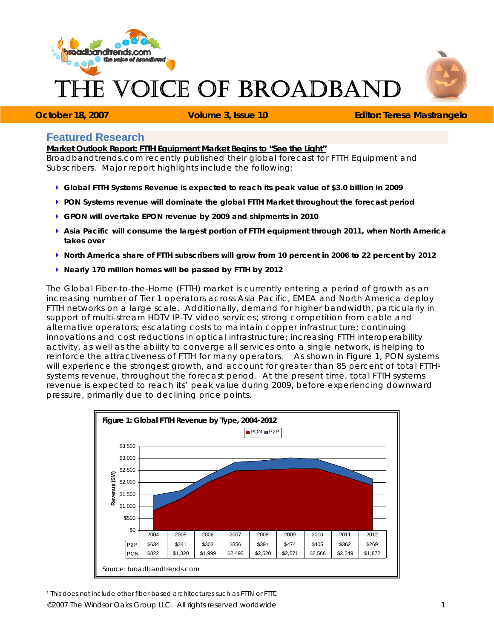

# VOICE OF BROADBAND



 $\overline{a}$ 

**October 18, 2007 Volume 3, Issue 10 <b>Editor: Teresa Mastrangelo Contrary and Editor: Teresa Mastrangelo** 

# **Featured Research**

**Market Outlook Report: FTTH Equipment Market Begins to "See the Light"** 

Broadbandtrends.com recently published their global forecast for FTTH Equipment and Subscribers. Major report highlights include the following:

- ` **Global FTTH Systems Revenue is expected to reach its peak value of \$3.0 billion in 2009**
- ` **PON Systems revenue will dominate the global FTTH Market throughout the forecast period**
- ` **GPON will overtake EPON revenue by 2009 and shipments in 2010**
- ▶ Asia Pacific will consume the largest portion of FTTH equipment through 2011, when North America **takes over**
- ` **North America share of FTTH subscribers will grow from 10 percent in 2006 to 22 percent by 2012**
- ` **Nearly 170 million homes will be passed by FTTH by 2012**

The Global Fiber-to-the-Home (FTTH) market is currently entering a period of growth as an increasing number of Tier 1 operators across Asia Pacific, EMEA and North America deploy FTTH networks on a large scale. Additionally, demand for higher bandwidth, particularly in support of multi-stream HDTV IP-TV video services; strong competition from cable and alternative operators; escalating costs to maintain copper infrastructure; continuing innovations and cost reductions in optical infrastructure; increasing FTTH interoperability activity, as well as the ability to converge all services onto a single network, is helping to reinforce the attractiveness of FTTH for many operators. As shown in Figure 1, PON systems will experience the strongest growth, and account for greater than 85 percent of total FTTH1 systems revenue, throughout the forecast period. At the present time, total FTTH systems revenue is expected to reach its' peak value during 2009, before experiencing downward pressure, primarily due to declining price points.



*©2007 The Windsor Oaks Group LLC. All rights reserved worldwide 1*  1 This does not include other fiber-based architectures such as FTTN or FTTC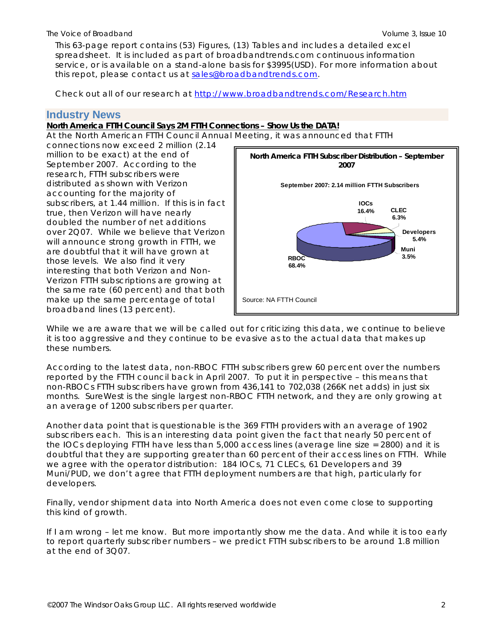This 63-page report contains (53) Figures, (13) Tables and includes a detailed excel spreadsheet. It is included as part of broadbandtrends.com continuous information service, or is available on a stand-alone basis for \$3995(USD). For more information about this repot, please contact us at [sales@broadbandtrends.com.](mailto:sales@broadbandtrends.com)

Check out all of our research at <http://www.broadbandtrends.com/Research.htm>

## **Industry News**

## **North America FTTH Council Says 2M FTTH Connections – Show Us the DATA!**

At the North American FTTH Council Annual Meeting, it was announced that FTTH

connections now exceed 2 million (2.14 million to be exact) at the end of September 2007. According to the research, FTTH subscribers were distributed as shown with Verizon accounting for the majority of subscribers, at 1.44 million. If this is in fact true, then Verizon will have nearly doubled the number of net additions over 2Q07. While we believe that Verizon will announce strong growth in FTTH, we are doubtful that it will have grown at those levels. We also find it very interesting that both Verizon and Non-Verizon FTTH subscriptions are growing at the same rate (60 percent) and that both make up the same percentage of total broadband lines (13 percent).



While we are aware that we will be called out for criticizing this data, we continue to believe it is too aggressive and they continue to be evasive as to the actual data that makes up these numbers.

According to the latest data, non-RBOC FTTH subscribers grew 60 percent over the numbers reported by the FTTH council back in April 2007. To put it in perspective – this means that non-RBOCs FTTH subscribers have grown from 436,141 to 702,038 (266K net adds) in just six months. SureWest is the single largest non-RBOC FTTH network, and they are only growing at an average of 1200 subscribers per quarter.

Another data point that is questionable is the 369 FTTH providers with an average of 1902 subscribers each. This is an interesting data point given the fact that nearly 50 percent of the IOCs deploying FTTH have less than 5,000 access lines (average line size = 2800) and it is doubtful that they are supporting greater than 60 percent of their access lines on FTTH. While we agree with the operator distribution: 184 IOCs, 71 CLECs, 61 Developers and 39 Muni/PUD, we don't agree that FTTH deployment numbers are that high, particularly for developers.

Finally, vendor shipment data into North America does not even come close to supporting this kind of growth.

If I am wrong – let me know. But more importantly show me the data. And while it is too early to report quarterly subscriber numbers – we predict FTTH subscribers to be around 1.8 million at the end of 3Q07.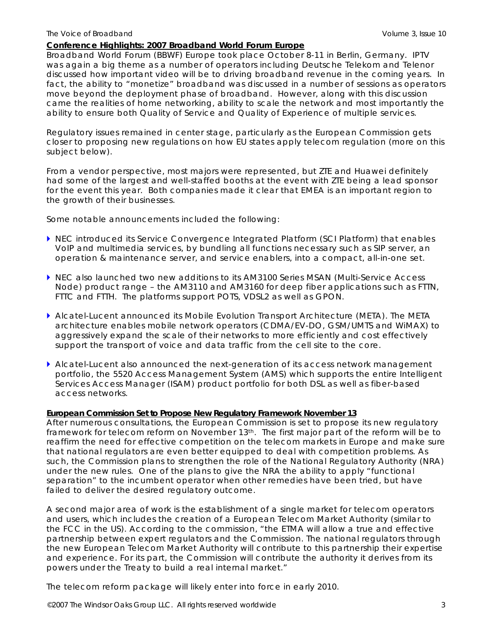#### **Conference Highlights: 2007 Broadband World Forum Europe**

Broadband World Forum (BBWF) Europe took place October 8-11 in Berlin, Germany. IPTV was again a big theme as a number of operators including Deutsche Telekom and Telenor discussed how important video will be to driving broadband revenue in the coming years. In fact, the ability to "monetize" broadband was discussed in a number of sessions as operators move beyond the deployment phase of broadband. However, along with this discussion came the realities of home networking, ability to scale the network and most importantly the ability to ensure both Quality of Service and Quality of Experience of multiple services.

Regulatory issues remained in center stage, particularly as the European Commission gets closer to proposing new regulations on how EU states apply telecom regulation (more on this subject below).

From a vendor perspective, most majors were represented, but ZTE and Huawei definitely had some of the largest and well-staffed booths at the event with ZTE being a lead sponsor for the event this year. Both companies made it clear that EMEA is an important region to the growth of their businesses.

Some notable announcements included the following:

- ` NEC introduced its Service Convergence Integrated Platform (SCI Platform) that enables VoIP and multimedia services, by bundling all functions necessary such as SIP server, an operation & maintenance server, and service enablers, into a compact, all-in-one set.
- ▶ NEC also launched two new additions to its AM3100 Series MSAN (Multi-Service Access Node) product range – the AM3110 and AM3160 for deep fiber applications such as FTTN, FTTC and FTTH. The platforms support POTS, VDSL2 as well as GPON.
- ` Alcatel-Lucent announced its Mobile Evolution Transport Architecture (META). The META architecture enables mobile network operators (CDMA/EV-DO, GSM/UMTS and WiMAX) to aggressively expand the scale of their networks to more efficiently and cost effectively support the transport of voice and data traffic from the cell site to the core.
- $\blacktriangleright$  Alcatel-Lucent also announced the next-generation of its access network management portfolio, the 5520 Access Management System (AMS) which supports the entire Intelligent Services Access Manager (ISAM) product portfolio for both DSL as well as fiber-based access networks.

#### **European Commission Set to Propose New Regulatory Framework November 13**

After numerous consultations, the European Commission is set to propose its new regulatory framework for telecom reform on November 13th. The first major part of the reform will be to reaffirm the need for effective competition on the telecom markets in Europe and make sure that national regulators are even better equipped to deal with competition problems. As such, the Commission plans to strengthen the role of the National Regulatory Authority (NRA) under the new rules. One of the plans to give the NRA the ability to apply "functional separation" to the incumbent operator when other remedies have been tried, but have failed to deliver the desired regulatory outcome.

A second major area of work is the establishment of a single market for telecom operators and users, which includes the creation of a European Telecom Market Authority (similar to the FCC in the US). According to the commission, "the ETMA will allow a true and effective partnership between expert regulators and the Commission. The national regulators through the new European Telecom Market Authority will contribute to this partnership their expertise and experience. For its part, the Commission will contribute the authority it derives from its powers under the Treaty to build a real internal market."

The telecom reform package will likely enter into force in early 2010.